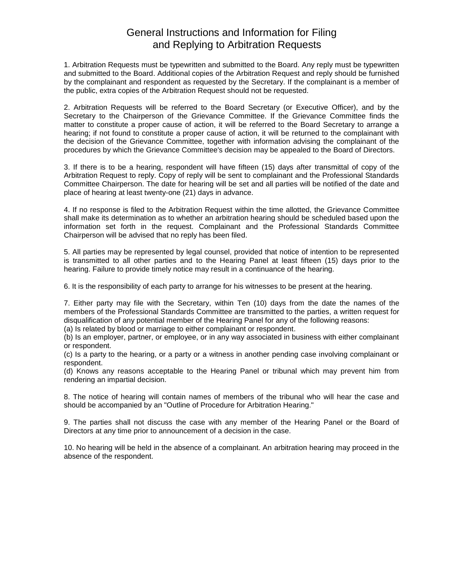## General Instructions and Information for Filing and Replying to Arbitration Requests

1. Arbitration Requests must be typewritten and submitted to the Board. Any reply must be typewritten and submitted to the Board. Additional copies of the Arbitration Request and reply should be furnished by the complainant and respondent as requested by the Secretary. If the complainant is a member of the public, extra copies of the Arbitration Request should not be requested.

2. Arbitration Requests will be referred to the Board Secretary (or Executive Officer), and by the Secretary to the Chairperson of the Grievance Committee. If the Grievance Committee finds the matter to constitute a proper cause of action, it will be referred to the Board Secretary to arrange a hearing; if not found to constitute a proper cause of action, it will be returned to the complainant with the decision of the Grievance Committee, together with information advising the complainant of the procedures by which the Grievance Committee's decision may be appealed to the Board of Directors.

3. If there is to be a hearing, respondent will have fifteen (15) days after transmittal of copy of the Arbitration Request to reply. Copy of reply will be sent to complainant and the Professional Standards Committee Chairperson. The date for hearing will be set and all parties will be notified of the date and place of hearing at least twenty-one (21) days in advance.

4. If no response is filed to the Arbitration Request within the time allotted, the Grievance Committee shall make its determination as to whether an arbitration hearing should be scheduled based upon the information set forth in the request. Complainant and the Professional Standards Committee Chairperson will be advised that no reply has been filed.

5. All parties may be represented by legal counsel, provided that notice of intention to be represented is transmitted to all other parties and to the Hearing Panel at least fifteen (15) days prior to the hearing. Failure to provide timely notice may result in a continuance of the hearing.

6. It is the responsibility of each party to arrange for his witnesses to be present at the hearing.

7. Either party may file with the Secretary, within Ten (10) days from the date the names of the members of the Professional Standards Committee are transmitted to the parties, a written request for disqualification of any potential member of the Hearing Panel for any of the following reasons:

(a) Is related by blood or marriage to either complainant or respondent.

(b) Is an employer, partner, or employee, or in any way associated in business with either complainant or respondent.

(c) Is a party to the hearing, or a party or a witness in another pending case involving complainant or respondent.

(d) Knows any reasons acceptable to the Hearing Panel or tribunal which may prevent him from rendering an impartial decision.

8. The notice of hearing will contain names of members of the tribunal who will hear the case and should be accompanied by an "Outline of Procedure for Arbitration Hearing."

9. The parties shall not discuss the case with any member of the Hearing Panel or the Board of Directors at any time prior to announcement of a decision in the case.

10. No hearing will be held in the absence of a complainant. An arbitration hearing may proceed in the absence of the respondent.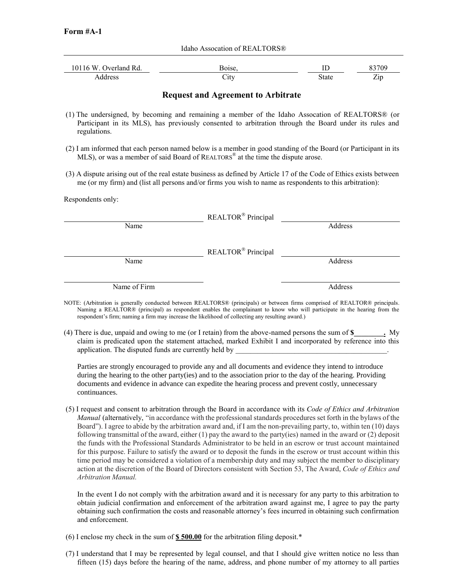Idaho Assocation of REALTORS®

| 10116 W<br>Overland Rd. | Boise. |       |     |
|-------------------------|--------|-------|-----|
| Address                 | تالات  | State | Zip |

## **Request and Agreement to Arbitrate**

- (1) The undersigned, by becoming and remaining a member of the Idaho Assocation of REALTORS® (or Participant in its MLS), has previously consented to arbitration through the Board under its rules and regulations.
- (2) I am informed that each person named below is a member in good standing of the Board (or Participant in its MLS), or was a member of said Board of REALTORS® at the time the dispute arose.
- (3) A dispute arising out of the real estate business as defined by Article 17 of the Code of Ethics exists between me (or my firm) and (list all persons and/or firms you wish to name as respondents to this arbitration):

Respondents only:

|              | REALTOR® Principal             |         |
|--------------|--------------------------------|---------|
| Name         |                                | Address |
|              |                                |         |
|              | REALTOR <sup>®</sup> Principal |         |
| Name         |                                | Address |
|              |                                |         |
| Name of Firm |                                | Address |

- NOTE: (Arbitration is generally conducted between REALTORS® (principals) or between firms comprised of REALTOR® principals. Naming a REALTOR® (principal) as respondent enables the complainant to know who will participate in the hearing from the respondent's firm; naming a firm may increase the likelihood of collecting any resulting award.)
- (4) There is due, unpaid and owing to me (or I retain) from the above-named persons the sum of **\$\_\_\_\_\_\_\_\_.** My claim is predicated upon the statement attached, marked Exhibit I and incorporated by reference into this application. The disputed funds are currently held by

Parties are strongly encouraged to provide any and all documents and evidence they intend to introduce during the hearing to the other party(ies) and to the association prior to the day of the hearing. Providing documents and evidence in advance can expedite the hearing process and prevent costly, unnecessary continuances.

(5) I request and consent to arbitration through the Board in accordance with its *Code of Ethics and Arbitration Manual* (alternatively, "in accordance with the professional standards procedures set forth in the bylaws of the Board"). I agree to abide by the arbitration award and, if I am the non-prevailing party, to, within ten (10) days following transmittal of the award, either (1) pay the award to the party(ies) named in the award or (2) deposit the funds with the Professional Standards Administrator to be held in an escrow or trust account maintained for this purpose. Failure to satisfy the award or to deposit the funds in the escrow or trust account within this time period may be considered a violation of a membership duty and may subject the member to disciplinary action at the discretion of the Board of Directors consistent with Section 53, The Award, *Code of Ethics and Arbitration Manual.*

In the event I do not comply with the arbitration award and it is necessary for any party to this arbitration to obtain judicial confirmation and enforcement of the arbitration award against me, I agree to pay the party obtaining such confirmation the costs and reasonable attorney's fees incurred in obtaining such confirmation and enforcement.

- (6) I enclose my check in the sum of **\$ 500.00** for the arbitration filing deposit.\*
- (7) I understand that I may be represented by legal counsel, and that I should give written notice no less than fifteen (15) days before the hearing of the name, address, and phone number of my attorney to all parties